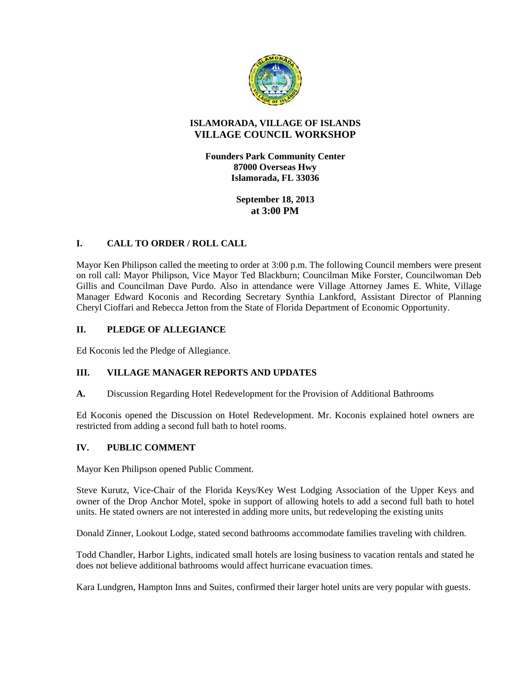

## **ISLAMORADA, VILLAGE OF ISLANDS VILLAGE COUNCIL WORKSHOP**

**Founders Park Community Center 87000 Overseas Hwy Islamorada, FL 33036**

> **September 18, 2013 at 3:00 PM**

# **I. CALL TO ORDER / ROLL CALL**

Mayor Ken Philipson called the meeting to order at 3:00 p.m. The following Council members were present on roll call: Mayor Philipson, Vice Mayor Ted Blackburn; Councilman Mike Forster, Councilwoman Deb Gillis and Councilman Dave Purdo. Also in attendance were Village Attorney James E. White, Village Manager Edward Koconis and Recording Secretary Synthia Lankford, Assistant Director of Planning Cheryl Cioffari and Rebecca Jetton from the State of Florida Department of Economic Opportunity.

## **II. PLEDGE OF ALLEGIANCE**

Ed Koconis led the Pledge of Allegiance.

## **III. VILLAGE MANAGER REPORTS AND UPDATES**

**A.** Discussion Regarding Hotel Redevelopment for the Provision of Additional Bathrooms

Ed Koconis opened the Discussion on Hotel Redevelopment. Mr. Koconis explained hotel owners are restricted from adding a second full bath to hotel rooms.

#### **IV. PUBLIC COMMENT**

Mayor Ken Philipson opened Public Comment.

Steve Kurutz, Vice-Chair of the Florida Keys/Key West Lodging Association of the Upper Keys and owner of the Drop Anchor Motel, spoke in support of allowing hotels to add a second full bath to hotel units. He stated owners are not interested in adding more units, but redeveloping the existing units

Donald Zinner, Lookout Lodge, stated second bathrooms accommodate families traveling with children.

Todd Chandler, Harbor Lights, indicated small hotels are losing business to vacation rentals and stated he does not believe additional bathrooms would affect hurricane evacuation times.

Kara Lundgren, Hampton Inns and Suites, confirmed their larger hotel units are very popular with guests.